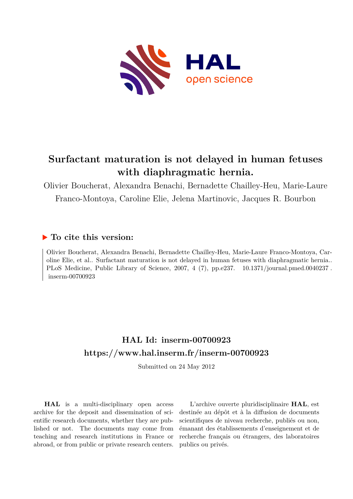

# **Surfactant maturation is not delayed in human fetuses with diaphragmatic hernia.**

Olivier Boucherat, Alexandra Benachi, Bernadette Chailley-Heu, Marie-Laure Franco-Montoya, Caroline Elie, Jelena Martinovic, Jacques R. Bourbon

## **To cite this version:**

Olivier Boucherat, Alexandra Benachi, Bernadette Chailley-Heu, Marie-Laure Franco-Montoya, Caroline Elie, et al.. Surfactant maturation is not delayed in human fetuses with diaphragmatic hernia.. PLoS Medicine, Public Library of Science, 2007, 4 (7), pp.e237. 10.1371/journal.pmed.0040237. inserm-00700923

## **HAL Id: inserm-00700923 <https://www.hal.inserm.fr/inserm-00700923>**

Submitted on 24 May 2012

**HAL** is a multi-disciplinary open access archive for the deposit and dissemination of scientific research documents, whether they are published or not. The documents may come from teaching and research institutions in France or abroad, or from public or private research centers.

L'archive ouverte pluridisciplinaire **HAL**, est destinée au dépôt et à la diffusion de documents scientifiques de niveau recherche, publiés ou non, émanant des établissements d'enseignement et de recherche français ou étrangers, des laboratoires publics ou privés.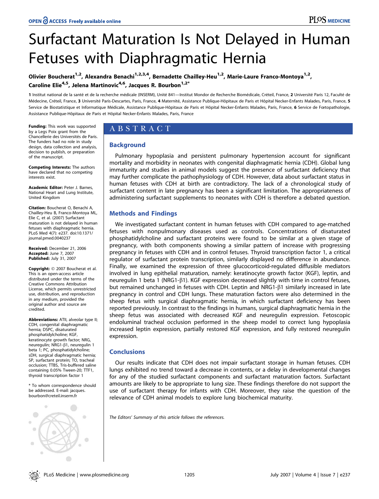# Surfactant Maturation Is Not Delayed in Human Fetuses with Diaphragmatic Hernia

## Olivier Boucherat<sup>1,2</sup>, Alexandra Benachi<sup>1,2,3,4</sup>, Bernadette Chailley-Heu<sup>1,2</sup>, Marie-Laure Franco-Montoya<sup>1,2</sup>, Caroline Elie<sup>4,5</sup>, Jelena Martinovic<sup>4,6</sup>, Jacques R. Bourbon<sup>1,2\*</sup>

1 Institut national de la santé et de la recherche médicale (INSERM), Unité 841—Institut Mondor de Recherche Biomédicale, Créteil, France, 2 Université Paris 12, Faculté de Médecine, Créteil, France, 3 Université Paris-Descartes, Paris, France, 4 Maternité, Assistance Publique-Hôpitaux de Paris et Hôpital Necker-Enfants Malades, Paris, France, 5 Service de Biostatistique et Informatique Médicale, Assistance Publique-Hôpitaux de Paris et Hôpital Necker-Enfants Malades, Paris, France, 6 Service de Fœtopathologie, Assistance Publique-Hôpitaux de Paris et Hôpital Necker-Enfants Malades, Paris, France

Funding: This work was supported by a Legs Poix grant from the Chancellerie des Universités de Paris. The funders had no role in study design, data collection and analysis, decision to publish, or preparation of the manuscript.

Competing Interests: The authors have declared that no competing interests exist.

Academic Editor: Peter J. Barnes, National Heart and Lung Institute, United Kingdom

Citation: Boucherat O, Benachi A, Chailley-Heu B, Franco-Montoya ML, Elie C, et al. (2007) Surfactant maturation is not delayed in human fetuses with diaphragmatic hernia. PLoS Med 4(7): e237. doi:10.1371/ journal.pmed.0040237

Received: December 21, 2006 Accepted: June 7, 2007 Published: July 31, 2007

Copyright: © 2007 Boucherat et al. This is an open-access article distributed under the terms of the Creative Commons Attribution License, which permits unrestricted use, distribution, and reproduction in any medium, provided the original author and source are credited.

Abbreviations: ATII, alveolar type II; CDH, congenital diaphragmatic hernia; DSPC, disaturated phosphatidylcholine; KGF, keratinocyte growth factor; NRG, neuregulin; NRG1- $\beta$ 1, neuregulin 1 beta 1; PC, phosphatidylcholine; sDH, surgical diaphragmatic hernia; SP, surfactant protein; TO, tracheal occlusion; TTBS, Tris-buffered saline containing 0.05% Tween-20; TTF1, thyroid transcription factor 1

\* To whom correspondence should be addressed. E-mail: jacques. bourbon@creteil.inserm.fr



## ABSTRACT

## Background

Pulmonary hypoplasia and persistent pulmonary hypertension account for significant mortality and morbidity in neonates with congenital diaphragmatic hernia (CDH). Global lung immaturity and studies in animal models suggest the presence of surfactant deficiency that may further complicate the pathophysiology of CDH. However, data about surfactant status in human fetuses with CDH at birth are contradictory. The lack of a chronological study of surfactant content in late pregnancy has been a significant limitation. The appropriateness of administering surfactant supplements to neonates with CDH is therefore a debated question.

## Methods and Findings

We investigated surfactant content in human fetuses with CDH compared to age-matched fetuses with nonpulmonary diseases used as controls. Concentrations of disaturated phosphatidylcholine and surfactant proteins were found to be similar at a given stage of pregnancy, with both components showing a similar pattern of increase with progressing pregnancy in fetuses with CDH and in control fetuses. Thyroid transcription factor 1, a critical regulator of surfactant protein transcription, similarly displayed no difference in abundance. Finally, we examined the expression of three glucocorticoid-regulated diffusible mediators involved in lung epithelial maturation, namely: keratinocyte growth factor (KGF), leptin, and neuregulin 1 beta 1 (NRG1- $\beta$ 1). KGF expression decreased slightly with time in control fetuses, but remained unchanged in fetuses with CDH. Leptin and NRG1- $\beta$ 1 similarly increased in late pregnancy in control and CDH lungs. These maturation factors were also determined in the sheep fetus with surgical diaphragmatic hernia, in which surfactant deficiency has been reported previously. In contrast to the findings in humans, surgical diaphragmatic hernia in the sheep fetus was associated with decreased KGF and neuregulin expression. Fetoscopic endoluminal tracheal occlusion performed in the sheep model to correct lung hypoplasia increased leptin expression, partially restored KGF expression, and fully restored neuregulin expression.

## **Conclusions**

Our results indicate that CDH does not impair surfactant storage in human fetuses. CDH lungs exhibited no trend toward a decrease in contents, or a delay in developmental changes for any of the studied surfactant components and surfactant maturation factors. Surfactant amounts are likely to be appropriate to lung size. These findings therefore do not support the use of surfactant therapy for infants with CDH. Moreover, they raise the question of the relevance of CDH animal models to explore lung biochemical maturity.

The Editors' Summary of this article follows the references.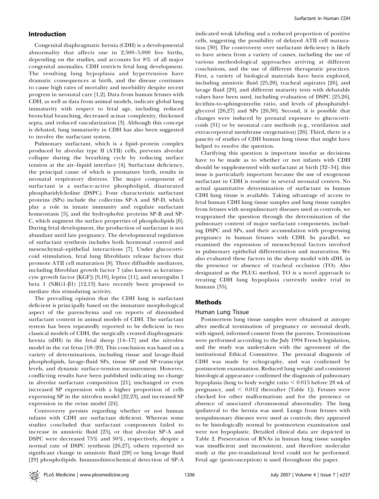#### Introduction

Congenital diaphragmatic hernia (CDH) is a developmental abnormality that affects one in 2,500–5,000 live births, depending on the studies, and accounts for 8% of all major congenital anomalies. CDH restricts fetal lung development. The resulting lung hypoplasia and hypertension have dramatic consequences at birth, and the disease continues to cause high rates of mortality and morbidity despite recent progress in neonatal care [1,2]. Data from human fetuses with CDH, as well as data from animal models, indicate global lung immaturity with respect to fetal age, including reduced bronchial branching, decreased acinar complexity, thickened septa, and reduced vascularization [3]. Although this concept is debated, lung immaturity in CDH has also been suggested to involve the surfactant system.

Pulmonary surfactant, which is a lipid–protein complex produced by alveolar type II (ATII) cells, prevents alveolar collapse during the breathing cycle by reducing surface tension at the air–liquid interface [4]. Surfactant deficiency, the principal cause of which is premature birth, results in neonatal respiratory distress. The major component of surfactant is a surface-active phospholipid, disaturated phosphatidylcholine (DSPC). Four characteristic surfactant proteins (SPs) include the collectins SP-A and SP-D, which play a role in innate immunity and regulate surfactant homeostasis [5], and the hydrophobic proteins SP-B and SP-C, which augment the surface properties of phospholipids [6]. During fetal development, the production of surfactant is not abundant until late pregnancy. The developmental regulation of surfactant synthesis includes both hormonal control and mesenchymal–epithelial interactions [7]. Under glucocorticoid stimulation, fetal lung fibroblasts release factors that promote ATII cell maturation [8]. Three diffusible mediators, including fibroblast growth factor 7 (also known as keratinocyte growth factor [KGF]) [9,10], leptin [11], and neuregulin 1 beta 1 (NRG1- $\beta$ 1) [12,13] have recently been proposed to mediate this stimulating activity.

The prevailing opinion that the CDH lung is surfactant deficient is principally based on the immature morphological aspect of the parenchyma and on reports of diminished surfactant content in animal models of CDH. The surfactant system has been repeatedly reported to be deficient in two classical models of CDH, the surgically created diaphragmatic hernia (sDH) in the fetal sheep [14–17] and the nitrofen model in the rat fetus [18–20]. This conclusion was based on a variety of determinations, including tissue and lavage-fluid phospholipids, lavage-fluid SPs, tissue SP and SP-transcript levels, and dynamic surface-tension measurement. However, conflicting results have been published indicating no change in alveolar surfactant composition [21], unchanged or even increased SP expression with a higher proportion of cells expressing SP in the nitrofen model [22,23], and increased SP expression in the ovine model [24].

Controversy persists regarding whether or not human infants with CDH are surfactant deficient. Whereas some studies concluded that surfactant components failed to increase in amniotic fluid [25], or that alveolar SP-A and DSPC were decreased 75% and 50%, respectively, despite a normal rate of DSPC synthesis [26,27], others reported no significant change in amniotic fluid [28] or lung lavage fluid [29] phospholipids. Immunohistochemical detection of SP-A

indicated weak labeling and a reduced proportion of positive cells, suggesting the possibility of delayed ATII cell maturation [30]. The controversy over surfactant deficiency is likely to have arisen from a variety of causes, including the use of various methodological approaches arriving at different conclusions, and the use of different therapeutic practices. First, a variety of biological materials have been explored, including amniotic fluid [25,28], tracheal aspirates [26], and lavage fluid [29], and different maturity tests with debatable values have been used, including evaluation of DSPC [25,26], lecithin-to-sphingomyelin ratio, and levels of phosphatidylglycerol [26,27] and SPs [26,30]. Second, it is possible that changes were induced by prenatal exposure to glucocorticoids [31] or by neonatal care methods (e.g., ventilation and extracorporeal membrane oxygenation) [26]. Third, there is a paucity of studies of CDH human lung tissue that might have helped to resolve the question.

Clarifying this question is important insofar as decisions have to be made as to whether or not infants with CDH should be supplemented with surfactant at birth [32–34]; this issue is particularly important because the use of exogenous surfactant in CDH is routine in several neonatal centers. No actual quantitative determination of surfactant in human CDH lung tissue is available. Taking advantage of access to fetal human CDH lung tissue samples and lung tissue samples from fetuses with nonpulmonary diseases used as controls, we reappraised the question through the determination of the pulmonary content of major surfactant components, including DSPC and SPs, and their accumulation with progressing pregnancy in human fetuses with CDH. In parallel, we examined the expression of mesenchymal factors involved in pulmonary epithelial differentiation and maturation. We also evaluated these factors in the sheep model with sDH, in the presence or absence of tracheal occlusion (TO). Also designated as the PLUG method, TO is a novel approach to treating CDH lung hypoplasia currently under trial in humans [35].

#### Methods

#### Human Lung Tissue

Postmortem lung tissue samples were obtained at autopsy after medical termination of pregnancy or neonatal death, with signed, informed consent from the parents. Terminations were performed according to the July 1994 French legislation, and the study was undertaken with the agreement of the institutional Ethical Committee. The prenatal diagnosis of CDH was made by echography, and was confirmed by postmortem examination. Reduced lung weight and consistent histological appearance confirmed the diagnosis of pulmonary hypoplasia (lung to body weight ratio  $< 0.015$  before 28 wk of pregnancy, and  $< 0.012$  thereafter [Table 1]). Fetuses were checked for other malformations and for the presence or absence of associated chromosomal abnormality. The lung ipsilateral to the hernia was used. Lungs from fetuses with nonpulmonary diseases were used as controls; they appeared to be histologically normal by postmortem examination and were not hypoplastic. Detailed clinical data are depicted in Table 2. Preservation of RNAs in human lung tissue samples was insufficient and inconsistent, and therefore molecular study at the pre-translational level could not be performed. Fetal age (postconception) is used throughout the paper.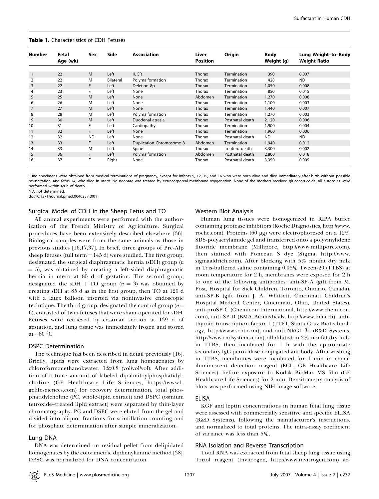#### Table 1. Characteristics of CDH Fetuses

| Number       | Fetal<br>Age (wk) | Sex       | <b>Side</b> | <b>Association</b>              | Liver<br><b>Position</b> | Origin          | <b>Body</b><br>Weight (g) | Lung Weight-to-Body<br><b>Weight Ratio</b> |
|--------------|-------------------|-----------|-------------|---------------------------------|--------------------------|-----------------|---------------------------|--------------------------------------------|
|              |                   |           |             |                                 |                          |                 |                           |                                            |
| $\mathbf{1}$ | 22                | M         | Left        | <b>IUGR</b>                     | <b>Thorax</b>            | Termination     | 390                       | 0.007                                      |
| 2            | 22                | M         | Bilateral   | Polymalformation                | Thorax                   | Termination     | 428                       | <b>ND</b>                                  |
| 3            | 22                | F         | Left        | Deletion 8p                     | <b>Thorax</b>            | Termination     | 1,050                     | 0.008                                      |
| 4            | 23                | F         | Left        | None                            | Thorax                   | Termination     | 850                       | 0.015                                      |
| 5            | 25                | M         | Left        | None                            | Abdomen                  | Termination     | 1,270                     | 0.008                                      |
| 6            | 26                | M         | Left        | None                            | Thorax                   | Termination     | 1,100                     | 0.003                                      |
| 7            | 27                | M         | Left        | None                            | <b>Thorax</b>            | Termination     | 1,440                     | 0.007                                      |
| 8            | 28                | M         | Left        | Polymalformation                | Thorax                   | Termination     | 1,270                     | 0.003                                      |
| 9            | 30                | M         | Left        | Duodenal atresia                | Thorax                   | Postnatal death | 2,120                     | 0.006                                      |
| 10           | 31                | F         | Left        | Cardiopathy                     | Thorax                   | Termination     | 1,900                     | 0.004                                      |
| 11           | 32                | F         | Left        | None                            | <b>Thorax</b>            | Termination     | 1,960                     | 0.006                                      |
| 12           | 32                | <b>ND</b> | Left        | None                            | Thorax                   | Postnatal death | <b>ND</b>                 | <b>ND</b>                                  |
| 13           | 33                | F         | Left        | <b>Duplication Chromosome 8</b> | Abdomen                  | Termination     | 1,940                     | 0.012                                      |
| 14           | 33                | M         | Left        | Spine                           | Thorax                   | In-utero death  | 3,300                     | 0.002                                      |
| 15           | 36                | F         | Left        | Polymalformation                | Abdomen                  | Postnatal death | 2,800                     | 0.018                                      |
| 16           | 37                | F         | Right       | None                            | Thorax                   | Postnatal death | 3,350                     | 0.005                                      |

Lung specimens were obtained from medical terminations of pregnancy, except for infants 9, 12, 15, and 16 who were born alive and died immediately after birth without possible resuscitation, and fetus 14, who died in utero. No neonate was treated by extracorporeal membrane oxygenation. None of the mothers received glucocorticoids. All autopsies were performed within 48 h of death.

ND, not determined.

doi:10.1371/journal.pmed.0040237.t001

#### Surgical Model of CDH in the Sheep Fetus and TO

All animal experiments were performed with the authorization of the French Ministry of Agriculture. Surgical procedures have been extensively described elsewhere [36]. Biological samples were from the same animals as those in previous studies [16,17,37]. In brief, three groups of Pre-Alp sheep fetuses (full term  $= 145$  d) were studied. The first group, designated the surgical diaphragmatic hernia (sDH) group (n  $=$  5), was obtained by creating a left-sided diaphragmatic hernia in utero at 85 d of gestation. The second group, designated the sDH + TO group ( $n = 3$ ) was obtained by creating sDH at 85 d as in the first group, then TO at 120 d with a latex balloon inserted via noninvasive endoscopic technique. The third group, designated the control group  $(n=$ 6), consisted of twin fetuses that were sham-operated for sDH. Fetuses were retrieved by cesarean section at 139 d of gestation, and lung tissue was immediately frozen and stored  $\alpha$ t –80 °C.

#### DSPC Determination

The technique has been described in detail previously [16]. Briefly, lipids were extracted from lung homogenates by chloroform:methanol:water, 1:2:0.8 (vol/vol/vol). After addition of a trace amount of labeled dipalmitoylphosphatidylcholine (GE Healthcare Life Sciences, https://www1. gelifesciences.com) for recovery determination, total phosphatidylcholine (PC, whole-lipid extract) and DSPC (osmium tetroxide–treated lipid extract) were separated by thin-layer chromatography. PC and DSPC were eluted from the gel and divided into aliquot fractions for scintillation counting and for phosphate determination after sample mineralization.

#### Lung DNA

DNA was determined on residual pellet from delipidated homogenates by the colorimetric diphenylamine method [38]. DPSC was normalized for DNA concentration.

#### Western Blot Analysis

Human lung tissues were homogenized in RIPA buffer containing protease inhibitors (Roche Diagnostics, http://www. roche.com). Proteins (60  $\mu$ g) were electrophoresed on a 12% SDS-polyacrylamide gel and transferred onto a polyvinylidene fluoride membrane (Millipore, http://www.millipore.com), then stained with Ponceau S dye (Sigma, http://www. sigmaaldrich.com). After blocking with 5% nonfat dry milk in Tris-buffered saline containing 0.05% Tween-20 (TTBS) at room temperature for 2 h, membranes were exposed for 2 h to one of the following antibodies: anti-SP-A (gift from M. Post, Hospital for Sick Children, Toronto, Ontario, Canada), anti-SP-B (gift from J. A. Whitsett, Cincinnati Children's Hospital Medical Center, Cincinnati, Ohio, United States), anti-proSP-C (Chemicon International, http://www.chemicon. com), anti-SP-D (BMA Biomedicals, http://www.bma.ch), antithyroid transcription factor 1 (TTF1, Santa Cruz Biotechnology, http://www.scbt.com), and anti-NRG1-b1 (R&D Systems, http://www.rndsystems.com), all diluted in 2% nonfat dry milk in TTBS, then incubated for 1 h with the appropriate secondary IgG peroxidase-conjugated antibody. After washing in TTBS, membranes were incubated for 1 min in chemiluminescent detection reagent (ECL, GE Healthcare Life Sciences), before exposure to Kodak BioMax MS film (GE Healthcare Life Sciences) for 2 min. Densitometry analysis of blots was performed using NIH image software.

#### ELISA

KGF and leptin concentrations in human fetal lung tissue were assessed with commercially sensitive and specific ELISA (R&D Systems), following the manufacturer's instructions, and normalized to total proteins. The intra-assay coefficient of variance was less than 5%.

#### RNA Isolation and Reverse Transcription

Total RNA was extracted from fetal sheep lung tissue using Trizol reagent (Invitrogen, http://www.invitrogen.com) ac-

PLoS Medicine | www.plosmedicine.org 1207 1207 1207 July 2007 | Volume 4 | Issue 7 | e237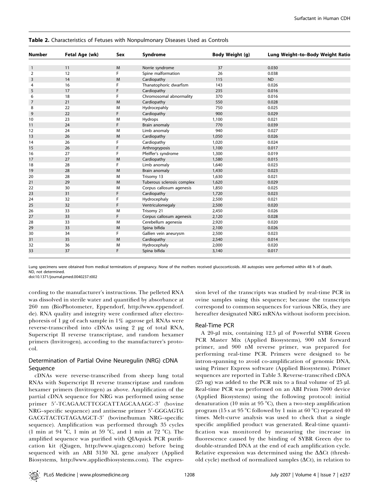| <b>Number</b>  | Fetal Age (wk) | Sex | Syndrome                   | Body Weight (g) | Lung Weight-to-Body Weight Ratio |
|----------------|----------------|-----|----------------------------|-----------------|----------------------------------|
|                |                |     |                            |                 |                                  |
| $\overline{1}$ | 11             | M   | Norrie syndrome            | 37              | 0.030                            |
| 2              | 12             | F   | Spine malformation         | 26              | 0.038                            |
| 3              | 14             | M   | Cardiopathy                | 115             | <b>ND</b>                        |
| 4              | 16             | F   | Thanatophoric dwarfism     | 143             | 0.026                            |
| 5              | 17             | F   | Cardiopathy                | 235             | 0.016                            |
| 6              | 18             | F   | Chromosomal abnormality    | 370             | 0.016                            |
| 7              | 21             | M   | Cardiopathy                | 550             | 0.028                            |
| 8              | 22             | M   | Hydrocepahly               | 750             | 0.025                            |
| 9              | 22             | F   | Cardiopathy                | 900             | 0.029                            |
| 10             | 23             | M   | Hydrops                    | 1,100           | 0.021                            |
| 11             | 24             | F   | Brain anomaly              | 770             | 0.039                            |
| 12             | 24             | M   | Limb anomaly               | 940             | 0.027                            |
| 13             | 26             | M   | Cardiopathy                | 1,050           | 0.026                            |
| 14             | 26             | F   | Cardiopathy                | 1,020           | 0.024                            |
| 15             | 26             | F   | Arthrogryposis             | 1,100           | 0.017                            |
| 16             | 27             | F   | Pfeiffer's syndrome        | 1,300           | 0.019                            |
| 17             | 27             | M   | Cardiopathy                | 1,580           | 0.015                            |
| 18             | 28             | F   | Limb anomaly               | 1,640           | 0.023                            |
| 19             | 28             | M   | Brain anomaly              | 1,430           | 0.023                            |
| 20             | 28             | M   | Trisomy 13                 | 1,630           | 0.021                            |
| 21             | 29             | M   | Tuberous sclerosis complex | 1,620           | 0.029                            |
| 22             | 30             | M   | Corpus callosum agenesis   | 1,850           | 0.025                            |
| 23             | 31             | F   | Cardiopathy                | 1,720           | 0.023                            |
| 24             | 32             | F   | Hydrocephaly               | 2,500           | 0.021                            |
| 25             | 32             | F   | Ventriculomegaly           | 2,500           | 0.020                            |
| 26             | 33             | M   | Trisomy 21                 | 2,450           | 0.026                            |
| 27             | 33             | F   | Corpus callosum agenesis   | 2,120           | 0.028                            |
| 28             | 33             | M   | Cerebellum agenesia        | 2,920           | 0.020                            |
| 29             | 33             | M   | Spina bifida               | 2,100           | 0.026                            |
| 30             | 34             | F   | Gallien vein aneurysm      | 2,500           | 0.023                            |
| 31             | 35             | M   | Cardiopathy                | 2,540           | 0.014                            |
| 32             | 36             | M   | Hydrocephaly               | 2,000           | 0.020                            |
| 33             | 37             | F   | Spina bifida               | 3,140           | 0.017                            |
|                |                |     |                            |                 |                                  |

Table 2. Characteristics of Fetuses with Nonpulmonary Diseases Used as Controls

Lung specimens were obtained from medical terminations of pregnancy. None of the mothers received glucocorticoids. All autopsies were performed within 48 h of death. ND, not determined.

doi:10.1371/journal.pmed.0040237.t002

cording to the manufacturer's instructions. The pelleted RNA was dissolved in sterile water and quantified by absorbance at 260 nm (BioPhotometer, Eppendorf, http://www.eppendorf. de). RNA quality and integrity were confirmed after electrophoresis of 1 µg of each sample in  $1\%$  agarose gel. RNAs were reverse-transcribed into cDNAs using 2 µg of total RNA, Superscript II reverse transcriptase, and random hexamer primers (Invitrogen), according to the manufacturer's protocol.

#### Determination of Partial Ovine Neuregulin (NRG) cDNA Sequence

cDNAs were reverse-transcribed from sheep lung total RNAs with Superscript II reverse transcriptase and random hexamer primers (Invitrogen) as above. Amplification of the partial cDNA sequence for NRG was performed using sense primer 5'-TCAGAACTTCGCATTAGCAAAGC-3' (bovine  $NRG$ –specific sequence) and antisense primer  $5'$ - $GGGAGTG$ GACGTACTGTAGAAGCT-3' (bovine/human NRG-specific sequence). Amplification was performed through 35 cycles (1 min at 94 °C, 1 min at 59 °C, and 1 min at 72 °C). The amplified sequence was purified with QIAquick PCR purification kit (Qiagen, http://www.qiagen.com) before being sequenced with an ABI 3130 XL gene analyzer (Applied Biosystems, http://www.appliedbiosystems.com). The expression level of the transcripts was studied by real-time PCR in ovine samples using this sequence; because the transcripts correspond to common sequences for various NRGs, they are hereafter designated NRG mRNAs without isoform precision.

#### Real-Time PCR

A 20-µl mix, containing 12.5 µl of Powerful SYBR Green PCR Master Mix (Applied Biosystems), 900 nM forward primer, and 900 nM reverse primer, was prepared for performing real-time PCR. Primers were designed to be intron-spanning to avoid co-amplification of genomic DNA, using Primer Express software (Applied Biosystems). Primer sequences are reported in Table 3. Reverse-transcribed cDNA  $(25 \text{ ng})$  was added to the PCR mix to a final volume of  $25 \mu$ . Real-time PCR was performed on an ABI Prism 7000 device (Applied Biosystems) using the following protocol: initial denaturation (10 min at 95  $^{\circ}$ C), then a two-step amplification program (15 s at 95 °C followed by 1 min at 60 °C) repeated 40 times. Melt-curve analysis was used to check that a single specific amplified product was generated. Real-time quantification was monitored by measuring the increase in fluorescence caused by the binding of SYBR Green dye to double-stranded DNA at the end of each amplification cycle. Relative expression was determined using the  $\Delta\Delta$ Ct (threshold cycle) method of normalized samples  $(\Delta C_t)$ , in relation to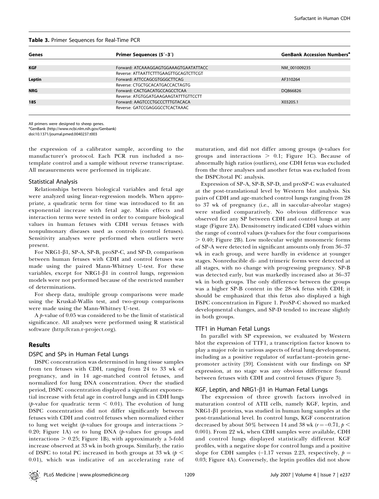|  |  |  |  | Table 3. Primer Sequences for Real-Time PCR |
|--|--|--|--|---------------------------------------------|
|--|--|--|--|---------------------------------------------|

| Genes      | Primer Sequences (5'-3')              | <b>GenBank Accession Numbers<sup>a</sup></b> |
|------------|---------------------------------------|----------------------------------------------|
|            |                                       |                                              |
| <b>KGF</b> | Forward: ATCAAAGGAGTGGAAAGTGAATATTACC | NM 001009235                                 |
|            | Reverse: ATTAATTCTTTGAAGTTGCAGTCTTCGT |                                              |
| Leptin     | Forward: ATTCCAGCGTGGGCTTCAG          | AF310264                                     |
|            | Reverse: CTGCTGCACATGACCACTAGTG       |                                              |
| <b>NRG</b> | Forward: CACTGACATGCCAGCCTCAA         | DO866826                                     |
|            | Reverse: ATGTGGATGAAGAAGTATTTGTTCCTT  |                                              |
| <b>18S</b> | Forward: AAGTCCCTGCCCTTTGTACACA       | X03205.1                                     |
|            | Reverse: GATCCGAGGGCCTCACTAAAC        |                                              |

All primers were designed to sheep genes.

<sup>a</sup>GenBank (http://www.ncbi.nlm.nih.gov/Genbank)

doi:10.1371/journal.pmed.0040237.t003

the expression of a calibrator sample, according to the manufacturer's protocol. Each PCR run included a notemplate control and a sample without reverse transcriptase. All measurements were performed in triplicate.

#### Statistical Analysis

Relationships between biological variables and fetal age were analyzed using linear-regression models. When appropriate, a quadratic term for time was introduced to fit an exponential increase with fetal age. Main effects and interaction terms were tested in order to compare biological values in human fetuses with CDH versus fetuses with nonpulmonary diseases used as controls (control fetuses). Sensitivity analyses were performed when outliers were present.

For NRG1-b1, SP-A, SP-B, proSP-C, and SP-D, comparison between human fetuses with CDH and control fetuses was made using the paired Mann-Whitney U-test. For these variables, except for NRG1- $\beta$ 1 in control lungs, regression models were not performed because of the restricted number of determinations.

For sheep data, multiple group comparisons were made using the Kruskal-Wallis test, and two-group comparisons were made using the Mann-Whitney U-test.

A  $p$ -value of 0.05 was considered to be the limit of statistical significance. All analyses were performed using R statistical software (http://cran.r-project.org).

#### Results

#### DSPC and SPs in Human Fetal Lungs

DSPC concentration was determined in lung tissue samples from ten fetuses with CDH, ranging from 24 to 33 wk of pregnancy, and in 14 age-matched control fetuses, and normalized for lung DNA concentration. Over the studied period, DSPC concentration displayed a significant exponential increase with fetal age in control lungs and in CDH lungs (*p*-value for quadratic term  $\leq$  0.01). The evolution of lung DSPC concentration did not differ significantly between fetuses with CDH and control fetuses when normalized either to lung wet weight ( $p$ -values for groups and interactions  $\geq$ 0.20; Figure 1A) or to lung DNA  $(p$ -values for groups and interactions  $> 0.25$ ; Figure 1B), with approximately a 5-fold increase observed at 33 wk in both groups. Similarly, the ratio of DSPC to total PC increased in both groups at 33 wk ( $p <$ 0.01), which was indicative of an accelerating rate of maturation, and did not differ among groups (p-values for groups and interactions  $> 0.1$ ; Figure 1C). Because of abnormally high ratios (outliers), one CDH fetus was excluded from the three analyses and another fetus was excluded from the DSPC/total PC analysis.

Expression of SP-A, SP-B, SP-D, and proSP-C was evaluated at the post-translational level by Western blot analysis. Six pairs of CDH and age-matched control lungs ranging from 28 to 37 wk of pregnancy (i.e., all in saccular-alveolar stages) were studied comparatively. No obvious difference was observed for any SP between CDH and control lungs at any stage (Figure 2A). Densitometry indicated CDH values within the range of control values  $(p$ -values for the four comparisons . 0.40; Figure 2B). Low molecular weight monomeric forms of SP-A were detected in significant amounts only from 36–37 wk in each group, and were hardly in evidence at younger stages. Nonreducible di- and trimeric forms were detected at all stages, with no change with progressing pregnancy. SP-B was detected early, but was markedly increased also at 36–37 wk in both groups. The only difference between the groups was a higher SP-B content in the 28-wk fetus with CDH; it should be emphasized that this fetus also displayed a high DSPC concentration in Figure 1. ProSP-C showed no marked developmental changes, and SP-D tended to increase slightly in both groups.

#### TTF1 in Human Fetal Lungs

In parallel with SP expression, we evaluated by Western blot the expression of TTF1, a transcription factor known to play a major role in various aspects of fetal lung development, including as a positive regulator of surfactant–protein genepromoter activity [39]. Consistent with our findings on SP expression, at no stage was any obvious difference found between fetuses with CDH and control fetuses (Figure 3).

#### KGF, Leptin, and NRG1- $\beta$ 1 in Human Fetal Lungs

The expression of three growth factors involved in maturation control of ATII cells, namely KGF, leptin, and  $NRG1-\beta1$  proteins, was studied in human lung samples at the post-translational level. In control lungs, KGF concentration decreased by about 50% between 14 and 38 wk (r=–0.71,  $p<$ 0.001). From 22 wk, when CDH samples were available, CDH and control lungs displayed statistically different KGF profiles, with a negative slope for control lungs and a positive slope for CDH samples  $(-1.17 \text{ versus } 2.23, \text{ respectively}, p =$ 0.03; Figure 4A). Conversely, the leptin profiles did not show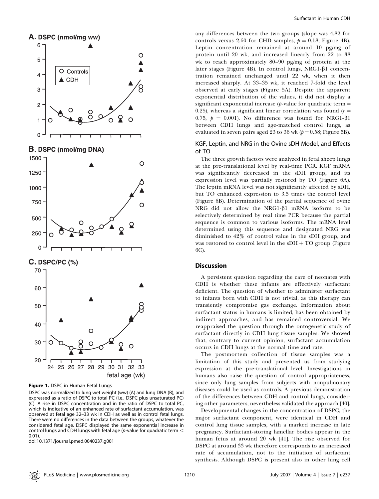### A. DSPC (nmol/mg ww)







Figure 1. DSPC in Human Fetal Lungs

DSPC was normalized to lung wet weight (ww) (A) and lung DNA (B), and expressed as a ratio of DSPC to total PC (i.e., DSPC plus unsaturated PC) (C). A rise in DSPC concentration and in the ratio of DSPC to total PC, which is indicative of an enhanced rate of surfactant accumulation, was observed at fetal age 32–33 wk in CDH as well as in control fetal lungs. There were no differences in the data between the groups, whatever the considered fetal age. DSPC displayed the same exponential increase in control lungs and CDH lungs with fetal age (p-value for quadratic term  $<$ 0.01).

doi:10.1371/journal.pmed.0040237.g001

any differences between the two groups (slope was 4.82 for controls versus 2.60 for CHD samples,  $p = 0.18$ ; Figure 4B). Leptin concentration remained at around 10 pg/mg of protein until 20 wk, and increased linearly from 22 to 38 wk to reach approximately 80–90 pg/mg of protein at the later stages (Figure 4B). In control lungs, NRG1- $\beta$ 1 concentration remained unchanged until 22 wk, when it then increased sharply. At 33–35 wk, it reached 7-fold the level observed at early stages (Figure 5A). Despite the apparent exponential distribution of the values, it did not display a significant exponential increase  $(p$ -value for quadratic term  $=$ 0.25), whereas a significant linear correlation was found  $(r =$ 0.75,  $p = 0.001$ ). No difference was found for NRG1- $\beta$ 1 between CDH lungs and age-matched control lungs, as evaluated in seven pairs aged 23 to 36 wk ( $p = 0.58$ ; Figure 5B).

#### KGF, Leptin, and NRG in the Ovine sDH Model, and Effects of TO

The three growth factors were analyzed in fetal sheep lungs at the pre-translational level by real-time PCR. KGF mRNA was significantly decreased in the sDH group, and its expression level was partially restored by TO (Figure 6A). The leptin mRNA level was not significantly affected by sDH, but TO enhanced expression to 3.5 times the control level (Figure 6B). Determination of the partial sequence of ovine NRG did not allow the NRG1- $\beta$ 1 mRNA isoform to be selectively determined by real time PCR because the partial sequence is common to various isoforms. The mRNA level determined using this sequence and designated NRG was diminished to 42% of control value in the sDH group, and was restored to control level in the  $sDH + TO$  group (Figure 6C).

#### **Discussion**

A persistent question regarding the care of neonates with CDH is whether these infants are effectively surfactant deficient. The question of whether to administer surfactant to infants born with CDH is not trivial, as this therapy can transiently compromise gas exchange. Information about surfactant status in humans is limited, has been obtained by indirect approaches, and has remained controversial. We reappraised the question through the ontogenetic study of surfactant directly in CDH lung tissue samples. We showed that, contrary to current opinion, surfactant accumulation occurs in CDH lungs at the normal time and rate.

The postmortem collection of tissue samples was a limitation of this study and prevented us from studying expression at the pre-translational level. Investigations in humans also raise the question of control appropriateness, since only lung samples from subjects with nonpulmonary diseases could be used as controls. A previous demonstration of the differences between CDH and control lungs, considering other parameters, nevertheless validated the approach [40].

Developmental changes in the concentration of DSPC, the major surfactant component, were identical in CDH and control lung tissue samples, with a marked increase in late pregnancy. Surfactant-storing lamellar bodies appear in the human fetus at around 20 wk [41]. The rise observed for DSPC at around 33 wk therefore corresponds to an increased rate of accumulation, not to the initiation of surfactant synthesis. Although DSPC is present also in other lung cell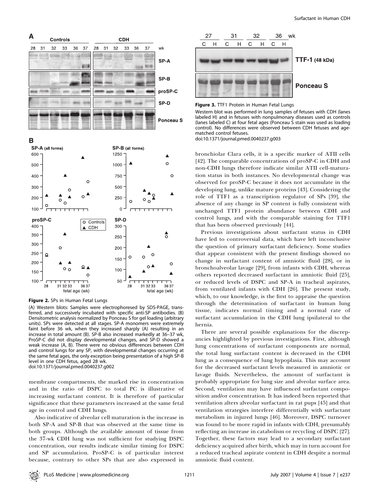



Figure 2. SPs in Human Fetal Lungs

(A) Western blots: Samples were electrophoresed by SDS-PAGE, transferred, and successively incubated with specific anti-SP antibodies. (B) Densitometric analysis normalized by Ponceau S for gel loading (arbitrary units). SPs were detected at all stages. SP-A monomers were extremely faint before 36 wk, when they increased sharply (A) resulting in an increase in total amount (B). SP-B also increased markedly at 36–37 wk, ProSP-C did not display developmental changes, and SP-D showed a weak increase (A, B). There were no obvious differences between CDH and control lungs for any SP, with developmental changes occurring at the same fetal ages, the only exception being presentation of a high SP-B level in one CDH fetus, aged 28 wk. doi:10.1371/journal.pmed.0040237.g002

membrane compartments, the marked rise in concentration and in the ratio of DSPC to total PC is illustrative of increasing surfactant content. It is therefore of particular significance that these parameters increased at the same fetal age in control and CDH lungs.

Also indicative of alveolar cell maturation is the increase in both SP-A and SP-B that was observed at the same time in both groups. Although the available amount of tissue from the 37-wk CDH lung was not sufficient for studying DSPC concentration, our results indicate similar timing for DSPC and SP accumulation. ProSP-C is of particular interest because, contrary to other SPs that are also expressed in





Western blot was performed in lung samples of fetuses with CDH (lanes labeled H) and in fetuses with nonpulmonary diseases used as controls (lanes labeled C) at four fetal ages (Ponceau S stain was used as loading control). No differences were observed between CDH fetuses and agematched control fetuses. doi:10.1371/journal.pmed.0040237.g003

bronchiolar Clara cells, it is a specific marker of ATII cells [42]. The comparable concentrations of proSP-C in CDH and non-CDH lungs therefore indicate similar ATII cell-maturation status in both instances. No developmental change was observed for proSP-C because it does not accumulate in the developing lung, unlike mature proteins [43]. Considering the role of TTF1 as a transcription regulator of SPs [39], the absence of any change in SP content is fully consistent with unchanged TTF1 protein abundance between CDH and control lungs, and with the comparable staining for TTF1 that has been observed previously [44].

Previous investigations about surfactant status in CDH have led to controversial data, which have left inconclusive the question of primary surfactant deficiency. Some studies that appear consistent with the present findings showed no change in surfactant content of amniotic fluid [28], or in bronchoalveolar lavage [29], from infants with CDH, whereas others reported decreased surfactant in amniotic fluid [25], or reduced levels of DSPC and SP-A in tracheal aspirates, from ventilated infants with CDH [26]. The present study, which, to our knowledge, is the first to appraise the question through the determination of surfactant in human lung tissue, indicates normal timing and a normal rate of surfactant accumulation in the CDH lung ipsilateral to the hernia.

There are several possible explanations for the discrepancies highlighted by previous investigations. First, although lung concentrations of surfactant components are normal, the total lung surfactant content is decreased in the CDH lung as a consequence of lung hypoplasia. This may account for the decreased surfactant levels measured in amniotic or lavage fluids. Nevertheless, the amount of surfactant is probably appropriate for lung size and alveolar surface area. Second, ventilation may have influenced surfactant composition and/or concentration. It has indeed been reported that ventilation alters alveolar surfactant in rat pups [45] and that ventilation strategies interfere differentially with surfactant metabolism in injured lungs [46]. Moreover, DSPC turnover was found to be more rapid in infants with CDH, presumably reflecting an increase in catabolism or recycling of DSPC [27]. Together, these factors may lead to a secondary surfactant deficiency acquired after birth, which may in turn account for a reduced tracheal aspirate content in CDH despite a normal amniotic fluid content.

PLoS Medicine | www.plosmedicine.org 1211 1990 1211 July 2007 | Volume 4 | Issue 7 | e237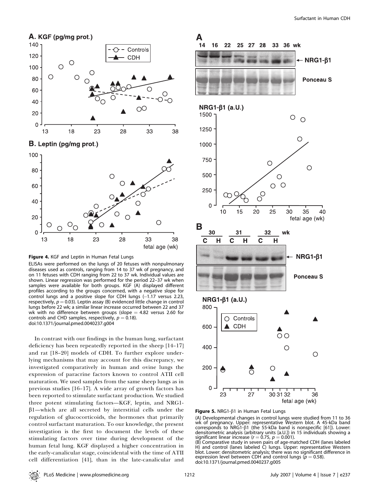





ELISAs were performed on the lungs of 20 fetuses with nonpulmonary diseases used as controls, ranging from 14 to 37 wk of pregnancy, and on 11 fetuses with CDH ranging from 22 to 37 wk. Individual values are shown. Linear regression was performed for the period 22–37 wk when samples were available for both groups. KGF (A) displayed different profiles according to the groups concerned, with a negative slope for control lungs and a positive slope for CDH lungs (-1.17 versus 2.23, respectively,  $p = 0.03$ ). Leptin assay (B) evidenced little change in control lungs before 22 wk; a similar linear increase occurred between 22 and 37 wk with no difference between groups (slope  $=$  4.82 versus 2.60 for controls and CHD samples, respectively,  $p = 0.18$ ). doi:10.1371/journal.pmed.0040237.g004

In contrast with our findings in the human lung, surfactant deficiency has been repeatedly reported in the sheep [14–17] and rat [18–20] models of CDH. To further explore underlying mechanisms that may account for this discrepancy, we investigated comparatively in human and ovine lungs the expression of paracrine factors known to control ATII cell maturation. We used samples from the same sheep lungs as in previous studies [16–17]. A wide array of growth factors has been reported to stimulate surfactant production. We studied three potent stimulating factors—KGF, leptin, and NRG1-  $\beta$ 1—which are all secreted by interstitial cells under the regulation of glucocorticoids, the hormones that primarily control surfactant maturation. To our knowledge, the present investigation is the first to document the levels of these stimulating factors over time during development of the human fetal lung. KGF displayed a higher concentration in the early-canalicular stage, coincidental with the time of ATII cell differentiation [41], than in the late-canalicular and





(A) Developmental changes in control lungs were studied from 11 to 36 wk of pregnancy. Upper: representative Western blot. A 45-kDa band<br>corresponds to NRG1-β1 (the 55-kDa band is nonspecific [61]). Lower: densitometric analysis (arbitrary units [a.U.]) in 15 individuals showing a significant linear increase ( $r = 0.75$ ,  $p = 0.001$ ).

(B) Comparative study in seven pairs of age-matched CDH (lanes labeled H) and control (lanes labeled C) lungs. Upper: representative Western blot. Lower: densitometric analysis; there was no significant difference in expression level between CDH and control lungs ( $\tilde{p} = 0.58$ ). doi:10.1371/journal.pmed.0040237.g005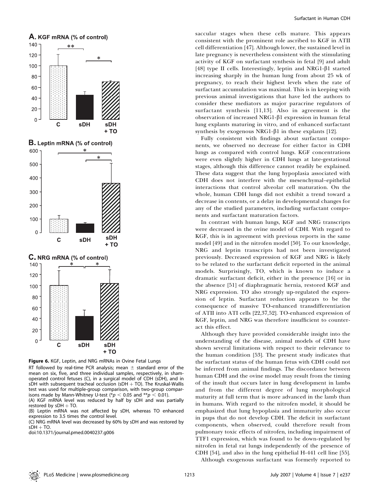

Figure 6. KGF, Leptin, and NRG mRNAs in Ovine Fetal Lungs RT followed by real-time PCR analysis; mean  $\pm$  standard error of the

mean on six, five, and three individual samples, respectively, in shamoperated control fetuses (C), in a surgical model of CDH (sDH), and in  $sDH$  with subsequent tracheal occlusion ( $sDH + TO$ ). The Kruskal-Wallis test was used for multiple-group comparison, with two-group comparisons made by Mann-Whitney U-test (\* $p < 0.05$  and \*\* $p < 0.01$ ).

(A) KGF mRNA level was reduced by half by sDH and was partially restored by  $sDH + TO$ .

(B) Leptin mRNA was not affected by sDH, whereas TO enhanced expression to 3.5 times the control level.

(C) NRG mRNA level was decreased by 60% by sDH and was restored by  $sDH + TO$ 

doi:10.1371/journal.pmed.0040237.g006

saccular stages when these cells mature. This appears consistent with the prominent role ascribed to KGF in ATII cell differentiation [47]. Although lower, the sustained level in late pregnancy is nevertheless consistent with the stimulating activity of KGF on surfactant synthesis in fetal [9] and adult [48] type II cells. Interestingly, leptin and NRG1- $\beta$ 1 started increasing sharply in the human lung from about 25 wk of pregnancy, to reach their highest levels when the rate of surfactant accumulation was maximal. This is in keeping with previous animal investigations that have led the authors to consider these mediators as major paracrine regulators of surfactant synthesis [11,13]. Also in agreement is the observation of increased NRG1- $\beta$ 1 expression in human fetal lung explants maturing in vitro, and of enhanced surfactant synthesis by exogenous NRG1- $\beta$ 1 in these explants [12].

Fully consistent with findings about surfactant components, we observed no decrease for either factor in CDH lungs as compared with control lungs. KGF concentrations were even slightly higher in CDH lungs at late-gestational stages, although this difference cannot readily be explained. These data suggest that the lung hypoplasia associated with CDH does not interfere with the mesenchymal–epithelial interactions that control alveolar cell maturation. On the whole, human CDH lungs did not exhibit a trend toward a decrease in contents, or a delay in developmental changes for any of the studied parameters, including surfactant components and surfactant maturation factors.

In contrast with human lungs, KGF and NRG transcripts were decreased in the ovine model of CDH. With regard to KGF, this is in agreement with previous reports in the same model [49] and in the nitrofen model [50]. To our knowledge, NRG and leptin transcripts had not been investigated previously. Decreased expression of KGF and NRG is likely to be related to the surfactant deficit reported in the animal models. Surprisingly, TO, which is known to induce a dramatic surfactant deficit, either in the presence [16] or in the absence [51] of diaphragmatic hernia, restored KGF and NRG expression. TO also strongly up-regulated the expression of leptin. Surfactant reduction appears to be the consequence of massive TO-enhanced transdifferentiation of ATII into ATI cells [22,37,52]. TO-enhanced expression of KGF, leptin, and NRG was therefore insufficient to counteract this effect.

Although they have provided considerable insight into the understanding of the disease, animal models of CDH have shown several limitations with respect to their relevance to the human condition [53]. The present study indicates that the surfactant status of the human fetus with CDH could not be inferred from animal findings. The discordance between human CDH and the ovine model may result from the timing of the insult that occurs later in lung development in lambs and from the different degree of lung morphological maturity at full term that is more advanced in the lamb than in humans. With regard to the nitrofen model, it should be emphasized that lung hypoplasia and immaturity also occur in pups that do not develop CDH. The deficit in surfactant components, when observed, could therefore result from pulmonary toxic effects of nitrofen, including impairment of TTF1 expression, which was found to be down-regulated by nitrofen in fetal rat lungs independently of the presence of CDH [54], and also in the lung epithelial H-441 cell line [55]. Although exogenous surfactant was formerly reported to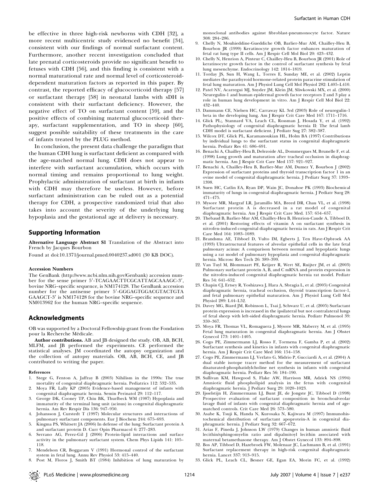be effective in three high-risk newborns with CDH [32], a more recent multicentric study evidenced no benefit [34], consistent with our findings of normal surfactant content. Furthermore, another recent investigation concluded that late prenatal corticosteroids provide no significant benefit to fetuses with CDH [56], and this finding is consistent with a normal maturational rate and normal level of corticosteroiddependent maturation factors as reported in this paper. By contrast, the reported efficacy of glucocorticoid therapy [57] or surfactant therapy [58] in neonatal lambs with sDH is consistent with their surfactant deficiency. However, the negative effect of TO on surfactant content [59], and the positive effects of combining maternal glucocorticoid therapy, surfactant supplementation, and TO in sheep [60], suggest possible suitability of these treatments in the care of infants treated by the PLUG method.

In conclusion, the present data challenge the paradigm that the human CDH lung is surfactant deficient as compared with the age-matched normal lung. CDH does not appear to interfere with surfactant accumulation, which occurs with normal timing and remains proportional to lung weight. Prophylactic administration of surfactant at birth in infants with CDH may therefore be useless. However, before surfactant administration can be ruled out as a potential therapy for CDH, a prospective randomized trial that also takes into account the severity of the underlying lung hypoplasia and the gestational age at delivery is necessary.

#### Supporting Information

Alternative Language Abstract S1 Translation of the Abstract into French by Jacques Bourbon

Found at doi:10.1371/journal.pmed.0040237.sd001 (30 KB DOC).

#### Accession Numbers

The GenBank (http://www.ncbi.nlm.nih.gov/Genbank) accession number for the sense primer 5'-TCAGAACTTCGCATTAGCAAAGC-3', bovine NRG–specific sequence, is NM174128. The GenBank accession number for the antisense primer 5'-GGGAGTGGACGTACTGTA GAAGCT-3' is NM174128 for the bovine NRG-specific sequence and NM013962 for the human NRG–specific sequence.

#### Acknowledgments

OB was supported by a Doctoral Fellowship grant from the Fondation pour la Recherche Médicale.

Author contributions. AB and JB designed the study. OB, AB, BCH, MLFM, and JB performed the experiments. CE performed the statistical analyses. JM coordinated the autopsy organization and the collection of autopsy materials. OB, AB, BCH, CE, and JB contributed to writing the paper.

#### References

- 1. Stege G, Fenton A, Jaffray B (2003) Nihilism in the 1990s: The true mortality of congenital diaphragmatic hernia. Pediatrics 112: 532–535.
- 2. Moya FR, Lally KP (2005) Evidence-based management of infants with congenital diaphragmatic hernia. Semin Perinatol 29: 112–117.
- 3. George DK, Cooney TP, Chiu BK, Thurlbeck WM (1987) Hypoplasia and immaturity of the terminal lung unit (acinus) in congenital diaphragmatic hernia. Am Rev Respir Dis 136: 947–950.
- 4. Johansson J, Curstedt T (1997) Molecular structures and interactions of pulmonary surfactant components. Eur J Biochem 244: 675–693.
- 5. Kingma PS, Whitsett JA (2006) In defense of the lung: Surfactant protein A and surfactant protein D. Curr Opin Pharmacol 6: 277–283.
- 6. Serrano AG, Perez-Gil J (2006) Protein-lipid interactions and surface activity in the pulmonary surfactant system. Chem Phys Lipids 141: 105– 118.
- 7. Mendelson CR, Boggaram V (1991) Hormonal control of the surfactant system in fetal lung. Annu Rev Physiol 53: 415–440.
- Post M, Floros J, Smith BT (1984) Inhibition of lung maturation by

monoclonal antibodies against fibroblast-pneumonocyte factor. Nature 308: 284–286.

- 9. Chelly N, Mouhieddine-Gueddiche OB, Barlier-Mur AM, Chailley-Heu B, Bourbon JR (1999) Keratinocyte growth factor enhances maturation of fetal rat lung type II cells. Am J Respir Cell Mol Biol 20: 423–432.
- 10. Chelly N, Henrion A, Pinteur C, Chailley-Heu B, Bourbon JR (2001) Role of keratinocyte growth factor in the control of surfactant synthesis by fetal lung mesenchyme. Endocrinology 142: 1814–1819.
- 11. Torday JS, Sun H, Wang L, Torres E, Sunday ME, et al. (2002) Leptin mediates the parathyroid hormone-related protein paracrine stimulation of fetal lung maturation. Am J Physiol Lung Cell Mol Physiol 282: L405–L410.
- 12. Patel NV, Acarregui MJ, Snyder JM, Klein JM, Sliwkowski MX, et al. (2000) Neuregulin-1 and human epidermal growth factor receptors 2 and 3 play a role in human lung development in vitro. Am J Respir Cell Mol Biol 22: 432–440.
- 13. Dammann CE, Nielsen HC, Carraway KL 3rd (2003) Role of neuregulin-1 beta in the developing lung. Am J Respir Crit Care Med 167: 1711–1716.
- 14. Glick PL;, Stannard VA, Leach CL, Rossman J, Hosada Y, et al. (1992) Pathophysiology of congenital diaphragmatic hernia II: The fetal lamb CDH model is surfactant deficient. J Pediatr Sug 27: 382–387.
- 15. Wilcox DT, Glick PL, Karamanoukian HL, Holm BA (1997) Contributions by individual lungs to the surfactant status in congenital diaphragmatic hernia. Pediatr Res 41: 686–691.
- 16. Benachi A, Chailley-Heu B, Delezoide AL, Dommergues M, Brunelle F, et al. (1998) Lung growth and maturation after tracheal occlusion in diaphragmatic hernia. Am J Respir Crit Care Med 157: 921–927.
- 17. Benachi A, Chailley-Heu B, Barlier-Mur AM, Dumez Y, Bourbon J (2002) Expression of surfactant proteins and thyroid transcription factor 1 in an ovine model of congenital diaphragmatic hernia. J Pediatr Surg 37: 1393– 1398.
- 18. Suen HC, Catlin EA, Ryan DP, Wain JC, Donahoe PK (1993) Biochemical immaturity of lungs in congenital diaphragmatic hernia. J Pediatr Surg 28: 471–475.
- 19. Mysore MR, Margraf LR, Jaramillo MA, Breed DR, Chau VL, et al. (1998) Surfactant protein A is decreased in a rat model of congenital diaphragmatic hernia. Am J Respir Crit Care Med. 157: 654–657.
- 20. Thebaud B, Barlier-Mur AM, Chailley-Heu B, Henrion-Caude A, Tibboel D, et al. (2001) Restoring effects of vitamin A on surfactant synthesis in nitrofen-induced congenital diaphragmatic hernia in rats. Am J Respir Crit Care Med 164: 1083–1089.
- 21. Brandsma AE, Tibboel D, Vulto IM, Egberts J, Ten Have-Opbroek AA (1993) Ultrastructural features of alveolar epithelial cells in the late fetal pulmonary acinus: A comparison between normal and hypoplastic lungs using a rat model of pulmonary hypoplasia and congenital diaphragmatic hernia. Microsc Res Tech 26: 389–399.
- 22. Van Tuyl M, Blommaart PE, Keijzer R, Wert SE, Ruijter JM, et al. (2003) Pulmonary surfactant protein A, B, and C mRNA and protein expression in the nitrofen-induced congenital diaphragmatic hernia rat model. Pediatr Res 54: 641–652.
- 23. Chapin CJ, Ertsey R, Yoshizawa J, Hara A, Sbragia L, et al. (2005) Congenital diaphragmatic hernia, tracheal occlusion, thyroid transcription factor-1, and fetal pulmonary epithelial maturation. Am J Physiol Lung Cell Mol Physiol 289: L44–L52.
- 24. Davey MG, Biard JM, Robinson L, Tsai J, Schwarz U, et al. (2005) Surfactant protein expression is increased in the ipsilateral but not contralateral lungs of fetal sheep with left-sided diaphragmatic hernia. Pediatr Pulmonol 39: 359–367.
- 25. Moya FR, Thomas VL, Romaguera J, Mysore MR, Maberry M, et al. (1995) Fetal lung maturation in congenital diaphragmatic hernia. Am J Obstet Gynecol 173: 1401–1405.
- 26. Cogo PE, Zimmermann LJ, Rosso F, Tormena F, Gamba P, et al. (2002) Surfactant synthesis and kinetics in infants with congenital diaphragmatic hernia. Am J Respir Crit Care Med 166: 154–158.
- 27. Cogo PE, Zimmermann LJ, Verlato G, Midrio P, Gucciardi A, et al. (2004) A dual stable isotope tracer method for the measurement of surfactant disaturated-phosphatidylcholine net synthesis in infants with congenital diaphragmatic hernia. Pediatr Res 56: 184–190.
- 28. Sullivan KM, Hawgood S, Flake AW, Harrison MR, Adzick NS (1994) Amniotic fluid phospholipid analysis in the fetus with congenital diaphragmatic hernia. J Pediatr Surg 29: 1020–1023.
- 29. Ijsselstijn H, Zimmermann LJ, Bunt JE, de Jongste JC, Tibboel D (1998) Prospective evaluation of surfactant composition in bronchoalveolar lavage fluid of infants with congenital diaphragmatic hernia and of agematched controls. Crit Care Med 26: 573–580.
- 30. Asabe K, Tsuji K, Handa N, Kurosaka N, Kajiwara M (1997) Immunohistochemical distribution of surfactant apoprotein-A in congenital diaphragmatic hernia. J Pediatr Surg 32: 667–672.
- 31. Arias F, Pineda J, Johnson LW (1979) Changes in human amniotic fluid lecithin/sphingomyelin ratio and dipalmitoyl lecithin associated with maternal betamethasone therapy. Am J Obstet Gynecol 133: 894–898.
- 32. Bos AP, Tibboel D, Hazebroek FW, Molenaar JC, Lachmann B, et al. (1991) Surfactant replacement therapy in high-risk congenital diaphragmatic hernia. Lancet 337: 913–915.
- 33. Glick PL, Leach CL, Besner GE, Egan EA, Morin FC, et al. (1992)